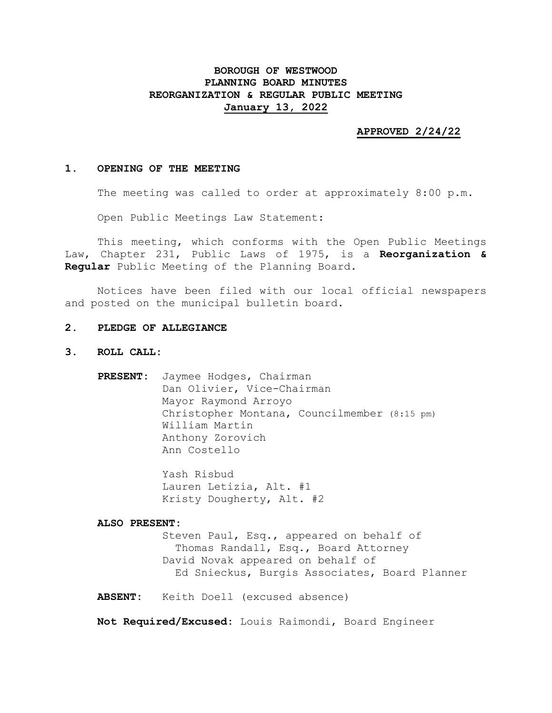# **BOROUGH OF WESTWOOD PLANNING BOARD MINUTES REORGANIZATION & REGULAR PUBLIC MEETING January 13, 2022**

### **APPROVED 2/24/22**

### **1. OPENING OF THE MEETING**

The meeting was called to order at approximately 8:00 p.m.

Open Public Meetings Law Statement:

This meeting, which conforms with the Open Public Meetings Law, Chapter 231, Public Laws of 1975, is a **Reorganization & Regular** Public Meeting of the Planning Board.

Notices have been filed with our local official newspapers and posted on the municipal bulletin board.

### **2. PLEDGE OF ALLEGIANCE**

- **3. ROLL CALL:**
	- **PRESENT:** Jaymee Hodges, Chairman Dan Olivier, Vice-Chairman Mayor Raymond Arroyo Christopher Montana, Councilmember (8:15 pm) William Martin Anthony Zorovich Ann Costello

Yash Risbud Lauren Letizia, Alt. #1 Kristy Dougherty, Alt. #2

#### **ALSO PRESENT:**

Steven Paul, Esq., appeared on behalf of Thomas Randall, Esq., Board Attorney David Novak appeared on behalf of Ed Snieckus, Burgis Associates, Board Planner

**ABSENT:** Keith Doell (excused absence)

**Not Required/Excused:** Louis Raimondi, Board Engineer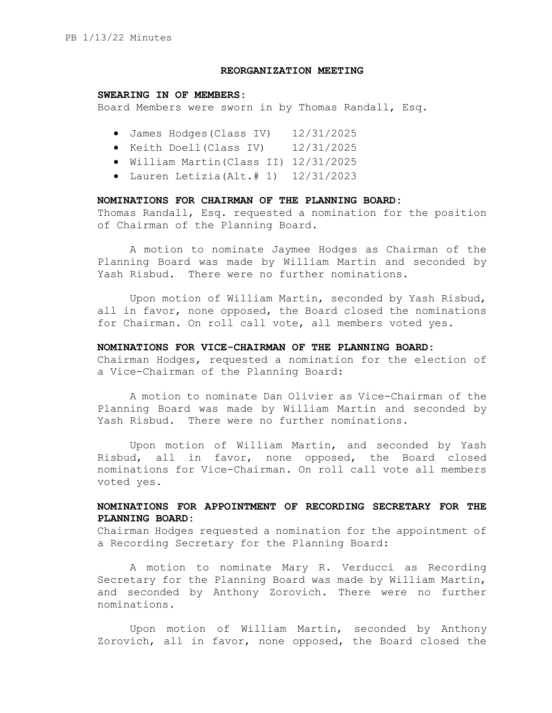### **REORGANIZATION MEETING**

#### **SWEARING IN OF MEMBERS:**

Board Members were sworn in by Thomas Randall, Esq.

- James Hodges(Class IV) 12/31/2025
- Keith Doell(Class IV) 12/31/2025
- William Martin(Class II) 12/31/2025
- Lauren Letizia(Alt.# 1) 12/31/2023

### **NOMINATIONS FOR CHAIRMAN OF THE PLANNING BOARD:**

Thomas Randall, Esq. requested a nomination for the position of Chairman of the Planning Board.

A motion to nominate Jaymee Hodges as Chairman of the Planning Board was made by William Martin and seconded by Yash Risbud. There were no further nominations.

Upon motion of William Martin, seconded by Yash Risbud, all in favor, none opposed, the Board closed the nominations for Chairman. On roll call vote, all members voted yes.

### **NOMINATIONS FOR VICE-CHAIRMAN OF THE PLANNING BOARD:**

Chairman Hodges, requested a nomination for the election of a Vice-Chairman of the Planning Board:

A motion to nominate Dan Olivier as Vice-Chairman of the Planning Board was made by William Martin and seconded by Yash Risbud. There were no further nominations.

Upon motion of William Martin, and seconded by Yash Risbud, all in favor, none opposed, the Board closed nominations for Vice-Chairman. On roll call vote all members voted yes.

## **NOMINATIONS FOR APPOINTMENT OF RECORDING SECRETARY FOR THE PLANNING BOARD:**

Chairman Hodges requested a nomination for the appointment of a Recording Secretary for the Planning Board:

A motion to nominate Mary R. Verducci as Recording Secretary for the Planning Board was made by William Martin, and seconded by Anthony Zorovich. There were no further nominations.

Upon motion of William Martin, seconded by Anthony Zorovich, all in favor, none opposed, the Board closed the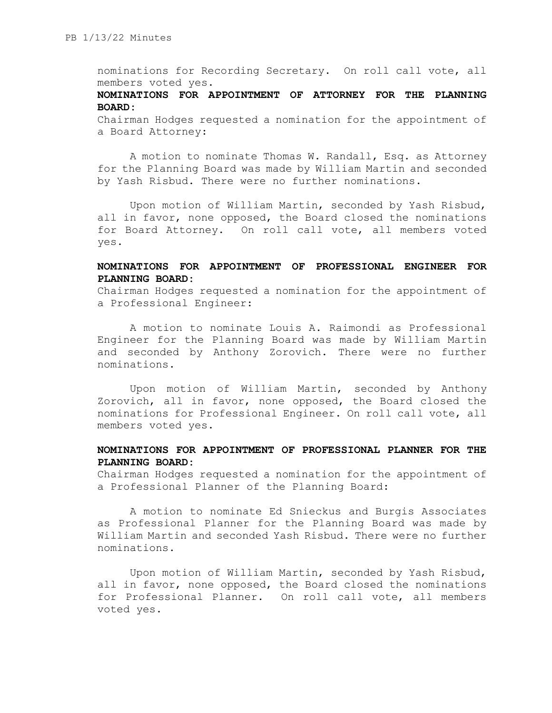nominations for Recording Secretary. On roll call vote, all members voted yes.

## **NOMINATIONS FOR APPOINTMENT OF ATTORNEY FOR THE PLANNING BOARD:**

Chairman Hodges requested a nomination for the appointment of a Board Attorney:

A motion to nominate Thomas W. Randall, Esq. as Attorney for the Planning Board was made by William Martin and seconded by Yash Risbud. There were no further nominations.

Upon motion of William Martin, seconded by Yash Risbud, all in favor, none opposed, the Board closed the nominations for Board Attorney. On roll call vote, all members voted yes.

# **NOMINATIONS FOR APPOINTMENT OF PROFESSIONAL ENGINEER FOR PLANNING BOARD:**

Chairman Hodges requested a nomination for the appointment of a Professional Engineer:

A motion to nominate Louis A. Raimondi as Professional Engineer for the Planning Board was made by William Martin and seconded by Anthony Zorovich. There were no further nominations.

Upon motion of William Martin, seconded by Anthony Zorovich, all in favor, none opposed, the Board closed the nominations for Professional Engineer. On roll call vote, all members voted yes.

## **NOMINATIONS FOR APPOINTMENT OF PROFESSIONAL PLANNER FOR THE PLANNING BOARD:**

Chairman Hodges requested a nomination for the appointment of a Professional Planner of the Planning Board:

A motion to nominate Ed Snieckus and Burgis Associates as Professional Planner for the Planning Board was made by William Martin and seconded Yash Risbud. There were no further nominations.

Upon motion of William Martin, seconded by Yash Risbud, all in favor, none opposed, the Board closed the nominations for Professional Planner. On roll call vote, all members voted yes.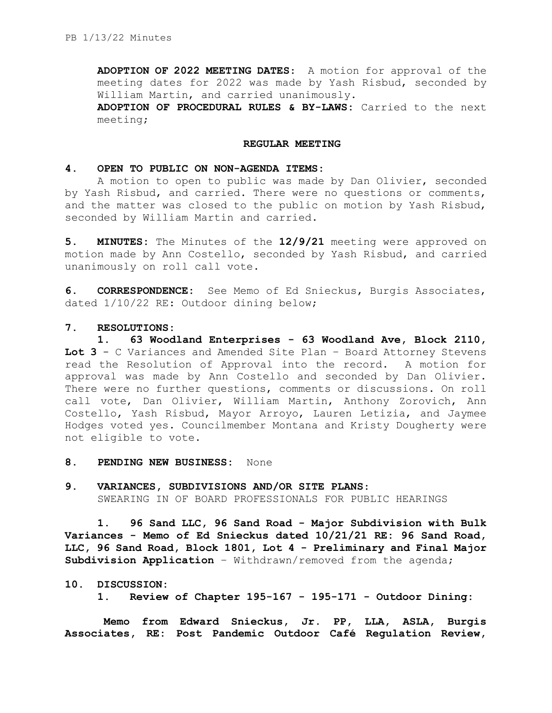**ADOPTION OF 2022 MEETING DATES**: A motion for approval of the meeting dates for 2022 was made by Yash Risbud, seconded by William Martin, and carried unanimously.

**ADOPTION OF PROCEDURAL RULES & BY-LAWS:** Carried to the next meeting;

### **REGULAR MEETING**

### **4. OPEN TO PUBLIC ON NON-AGENDA ITEMS:**

A motion to open to public was made by Dan Olivier, seconded by Yash Risbud, and carried. There were no questions or comments, and the matter was closed to the public on motion by Yash Risbud, seconded by William Martin and carried.

**5. MINUTES:** The Minutes of the **12/9/21** meeting were approved on motion made by Ann Costello, seconded by Yash Risbud, and carried unanimously on roll call vote.

**6. CORRESPONDENCE:** See Memo of Ed Snieckus, Burgis Associates, dated 1/10/22 RE: Outdoor dining below;

### **7. RESOLUTIONS:**

**1. 63 Woodland Enterprises - 63 Woodland Ave, Block 2110, Lot 3** - C Variances and Amended Site Plan – Board Attorney Stevens read the Resolution of Approval into the record. A motion for approval was made by Ann Costello and seconded by Dan Olivier. There were no further questions, comments or discussions. On roll call vote, Dan Olivier, William Martin, Anthony Zorovich, Ann Costello, Yash Risbud, Mayor Arroyo, Lauren Letizia, and Jaymee Hodges voted yes. Councilmember Montana and Kristy Dougherty were not eligible to vote.

- **8. PENDING NEW BUSINESS:** None
- **9. VARIANCES, SUBDIVISIONS AND/OR SITE PLANS**: SWEARING IN OF BOARD PROFESSIONALS FOR PUBLIC HEARINGS

**1. 96 Sand LLC, 96 Sand Road - Major Subdivision with Bulk Variances - Memo of Ed Snieckus dated 10/21/21 RE: 96 Sand Road, LLC, 96 Sand Road, Block 1801, Lot 4 - Preliminary and Final Major Subdivision Application** – Withdrawn/removed from the agenda;

#### **10. DISCUSSION:**

**1. Review of Chapter 195-167 - 195-171 - Outdoor Dining:**

**Memo from Edward Snieckus, Jr. PP, LLA, ASLA, Burgis Associates, RE: Post Pandemic Outdoor Café Regulation Review,**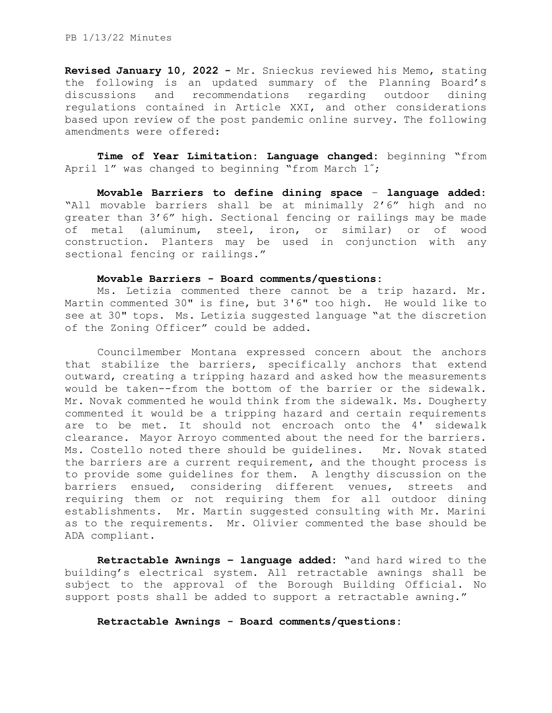**Revised January 10, 2022 -** Mr. Snieckus reviewed his Memo, stating the following is an updated summary of the Planning Board's discussions and recommendations regarding outdoor dining regulations contained in Article XXI, and other considerations based upon review of the post pandemic online survey. The following amendments were offered:

**Time of Year Limitation: Language changed:** beginning "from April 1" was changed to beginning "from March 1";

**Movable Barriers to define dining space** – **language added:** "All movable barriers shall be at minimally 2'6" high and no greater than 3'6" high. Sectional fencing or railings may be made of metal (aluminum, steel, iron, or similar) or of wood construction. Planters may be used in conjunction with any sectional fencing or railings."

### **Movable Barriers - Board comments/questions:**

Ms. Letizia commented there cannot be a trip hazard. Mr. Martin commented 30" is fine, but 3'6" too high. He would like to see at 30" tops. Ms. Letizia suggested language "at the discretion of the Zoning Officer" could be added.

Councilmember Montana expressed concern about the anchors that stabilize the barriers, specifically anchors that extend outward, creating a tripping hazard and asked how the measurements would be taken--from the bottom of the barrier or the sidewalk. Mr. Novak commented he would think from the sidewalk. Ms. Dougherty commented it would be a tripping hazard and certain requirements are to be met. It should not encroach onto the 4' sidewalk clearance. Mayor Arroyo commented about the need for the barriers. Ms. Costello noted there should be guidelines. Mr. Novak stated the barriers are a current requirement, and the thought process is to provide some guidelines for them. A lengthy discussion on the barriers ensued, considering different venues, streets and requiring them or not requiring them for all outdoor dining establishments. Mr. Martin suggested consulting with Mr. Marini as to the requirements. Mr. Olivier commented the base should be ADA compliant.

**Retractable Awnings – language added:** "and hard wired to the building's electrical system. All retractable awnings shall be subject to the approval of the Borough Building Official. No support posts shall be added to support a retractable awning."

**Retractable Awnings - Board comments/questions:**